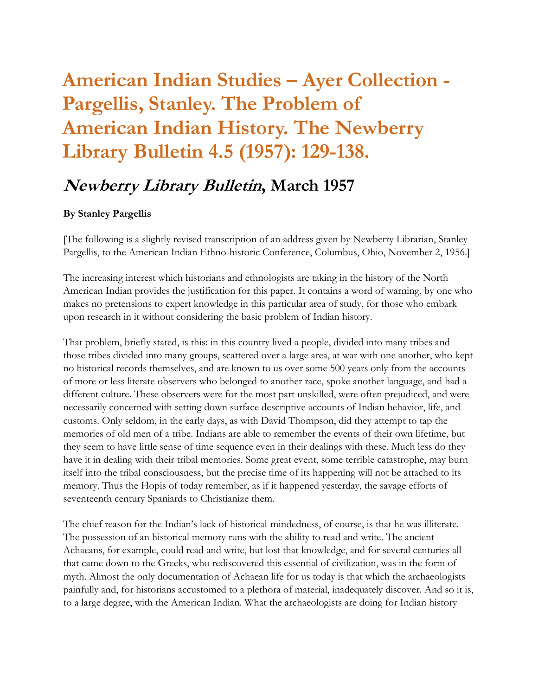## **American Indian Studies – Ayer Collection - Pargellis, Stanley. The Problem of American Indian History. The Newberry Library Bulletin 4.5 (1957): 129-138.**

## **Newberry Library Bulletin, March 1957**

## **By Stanley Pargellis**

[The following is a slightly revised transcription of an address given by Newberry Librarian, Stanley Pargellis, to the American Indian Ethno-historic Conference, Columbus, Ohio, November 2, 1956.]

The increasing interest which historians and ethnologists are taking in the history of the North American Indian provides the justification for this paper. It contains a word of warning, by one who makes no pretensions to expert knowledge in this particular area of study, for those who embark upon research in it without considering the basic problem of Indian history.

That problem, briefly stated, is this: in this country lived a people, divided into many tribes and those tribes divided into many groups, scattered over a large area, at war with one another, who kept no historical records themselves, and are known to us over some 500 years only from the accounts of more or less literate observers who belonged to another race, spoke another language, and had a different culture. These observers were for the most part unskilled, were often prejudiced, and were necessarily concerned with setting down surface descriptive accounts of Indian behavior, life, and customs. Only seldom, in the early days, as with David Thompson, did they attempt to tap the memories of old men of a tribe. Indians are able to remember the events of their own lifetime, but they seem to have little sense of time sequence even in their dealings with these. Much less do they have it in dealing with their tribal memories. Some great event, some terrible catastrophe, may burn itself into the tribal consciousness, but the precise time of its happening will not be attached to its memory. Thus the Hopis of today remember, as if it happened yesterday, the savage efforts of seventeenth century Spaniards to Christianize them.

The chief reason for the Indian's lack of historical-mindedness, of course, is that he was illiterate. The possession of an historical memory runs with the ability to read and write. The ancient Achaeans, for example, could read and write, but lost that knowledge, and for several centuries all that came down to the Greeks, who rediscovered this essential of civilization, was in the form of myth. Almost the only documentation of Achaean life for us today is that which the archaeologists painfully and, for historians accustomed to a plethora of material, inadequately discover. And so it is, to a large degree, with the American Indian. What the archaeologists are doing for Indian history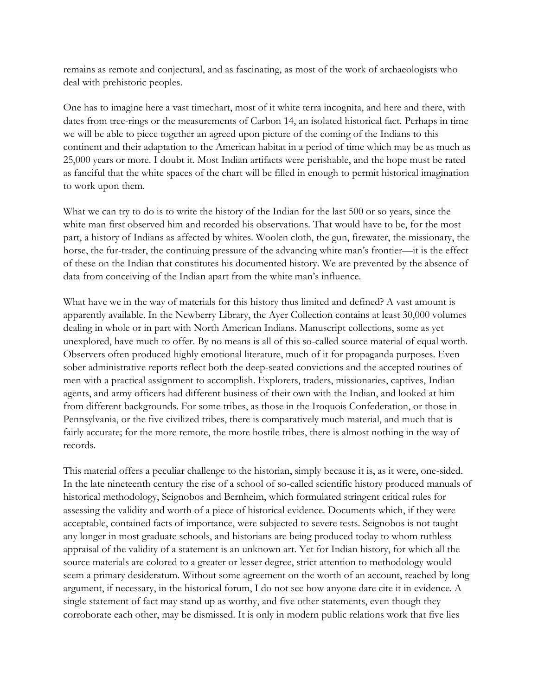remains as remote and conjectural, and as fascinating, as most of the work of archaeologists who deal with prehistoric peoples.

One has to imagine here a vast timechart, most of it white terra incognita, and here and there, with dates from tree-rings or the measurements of Carbon 14, an isolated historical fact. Perhaps in time we will be able to piece together an agreed upon picture of the coming of the Indians to this continent and their adaptation to the American habitat in a period of time which may be as much as 25,000 years or more. I doubt it. Most Indian artifacts were perishable, and the hope must be rated as fanciful that the white spaces of the chart will be filled in enough to permit historical imagination to work upon them.

What we can try to do is to write the history of the Indian for the last 500 or so years, since the white man first observed him and recorded his observations. That would have to be, for the most part, a history of Indians as affected by whites. Woolen cloth, the gun, firewater, the missionary, the horse, the fur-trader, the continuing pressure of the advancing white man's frontier—it is the effect of these on the Indian that constitutes his documented history. We are prevented by the absence of data from conceiving of the Indian apart from the white man's influence.

What have we in the way of materials for this history thus limited and defined? A vast amount is apparently available. In the Newberry Library, the Ayer Collection contains at least 30,000 volumes dealing in whole or in part with North American Indians. Manuscript collections, some as yet unexplored, have much to offer. By no means is all of this so-called source material of equal worth. Observers often produced highly emotional literature, much of it for propaganda purposes. Even sober administrative reports reflect both the deep-seated convictions and the accepted routines of men with a practical assignment to accomplish. Explorers, traders, missionaries, captives, Indian agents, and army officers had different business of their own with the Indian, and looked at him from different backgrounds. For some tribes, as those in the Iroquois Confederation, or those in Pennsylvania, or the five civilized tribes, there is comparatively much material, and much that is fairly accurate; for the more remote, the more hostile tribes, there is almost nothing in the way of records.

This material offers a peculiar challenge to the historian, simply because it is, as it were, one-sided. In the late nineteenth century the rise of a school of so-called scientific history produced manuals of historical methodology, Seignobos and Bernheim, which formulated stringent critical rules for assessing the validity and worth of a piece of historical evidence. Documents which, if they were acceptable, contained facts of importance, were subjected to severe tests. Seignobos is not taught any longer in most graduate schools, and historians are being produced today to whom ruthless appraisal of the validity of a statement is an unknown art. Yet for Indian history, for which all the source materials are colored to a greater or lesser degree, strict attention to methodology would seem a primary desideratum. Without some agreement on the worth of an account, reached by long argument, if necessary, in the historical forum, I do not see how anyone dare cite it in evidence. A single statement of fact may stand up as worthy, and five other statements, even though they corroborate each other, may be dismissed. It is only in modern public relations work that five lies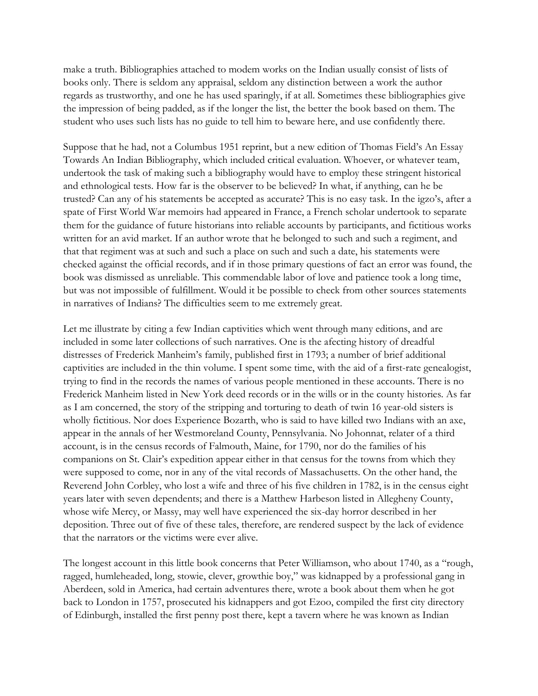make a truth. Bibliographies attached to modem works on the Indian usually consist of lists of books only. There is seldom any appraisal, seldom any distinction between a work the author regards as trustworthy, and one he has used sparingly, if at all. Sometimes these bibliographies give the impression of being padded, as if the longer the list, the better the book based on them. The student who uses such lists has no guide to tell him to beware here, and use confidently there.

Suppose that he had, not a Columbus 1951 reprint, but a new edition of Thomas Field's An Essay Towards An Indian Bibliography, which included critical evaluation. Whoever, or whatever team, undertook the task of making such a bibliography would have to employ these stringent historical and ethnological tests. How far is the observer to be believed? In what, if anything, can he be trusted? Can any of his statements be accepted as accurate? This is no easy task. In the igzo's, after a spate of First World War memoirs had appeared in France, a French scholar undertook to separate them for the guidance of future historians into reliable accounts by participants, and fictitious works written for an avid market. If an author wrote that he belonged to such and such a regiment, and that that regiment was at such and such a place on such and such a date, his statements were checked against the official records, and if in those primary questions of fact an error was found, the book was dismissed as unreliable. This commendable labor of love and patience took a long time, but was not impossible of fulfillment. Would it be possible to check from other sources statements in narratives of Indians? The difficulties seem to me extremely great.

Let me illustrate by citing a few Indian captivities which went through many editions, and are included in some later collections of such narratives. One is the afecting history of dreadful distresses of Frederick Manheim's family, published first in 1793; a number of brief additional captivities are included in the thin volume. I spent some time, with the aid of a first-rate genealogist, trying to find in the records the names of various people mentioned in these accounts. There is no Frederick Manheim listed in New York deed records or in the wills or in the county histories. As far as I am concerned, the story of the stripping and torturing to death of twin 16 year-old sisters is wholly fictitious. Nor does Experience Bozarth, who is said to have killed two Indians with an axe, appear in the annals of her Westmoreland County, Pennsylvania. No Johonnat, relater of a third account, is in the census records of Falmouth, Maine, for 1790, nor do the families of his companions on St. Clair's expedition appear either in that census for the towns from which they were supposed to come, nor in any of the vital records of Massachusetts. On the other hand, the Reverend John Corbley, who lost a wife and three of his five children in 1782, is in the census eight years later with seven dependents; and there is a Matthew Harbeson listed in Allegheny County, whose wife Mercy, or Massy, may well have experienced the six-day horror described in her deposition. Three out of five of these tales, therefore, are rendered suspect by the lack of evidence that the narrators or the victims were ever alive.

The longest account in this little book concerns that Peter Williamson, who about 1740, as a "rough, ragged, humleheaded, long, stowie, clever, growthie boy," was kidnapped by a professional gang in Aberdeen, sold in America, had certain adventures there, wrote a book about them when he got back to London in 1757, prosecuted his kidnappers and got Ezoo, compiled the first city directory of Edinburgh, installed the first penny post there, kept a tavern where he was known as Indian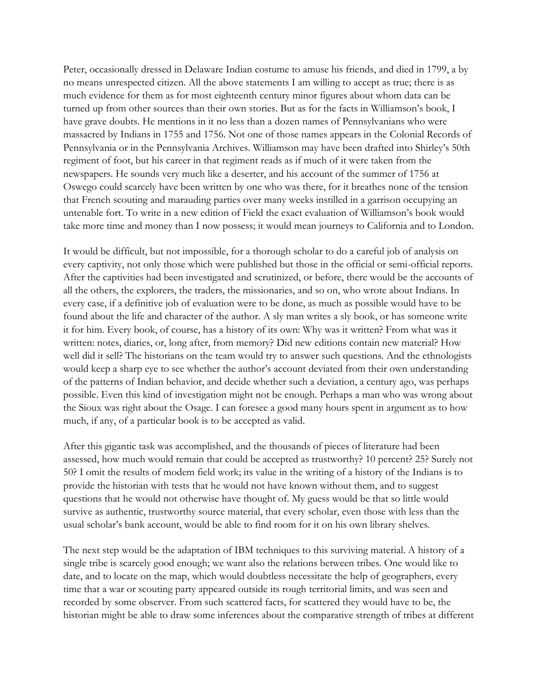Peter, occasionally dressed in Delaware Indian costume to amuse his friends, and died in 1799, a by no means unrespected citizen. All the above statements I am willing to accept as true; there is as much evidence for them as for most eighteenth century minor figures about whom data can be turned up from other sources than their own stories. But as for the facts in Williamson's book, I have grave doubts. He mentions in it no less than a dozen names of Pennsylvanians who were massacred by Indians in 1755 and 1756. Not one of those names appears in the Colonial Records of Pennsylvania or in the Pennsylvania Archives. Williamson may have been drafted into Shirley's 50th regiment of foot, but his career in that regiment reads as if much of it were taken from the newspapers. He sounds very much like a deserter, and his account of the summer of 1756 at Oswego could scarcely have been written by one who was there, for it breathes none of the tension that French scouting and marauding parties over many weeks instilled in a garrison occupying an untenable fort. To write in a new edition of Field the exact evaluation of Williamson's book would take more time and money than I now possess; it would mean journeys to California and to London.

It would be difficult, but not impossible, for a thorough scholar to do a careful job of analysis on every captivity, not only those which were published but those in the official or semi-official reports. After the captivities had been investigated and scrutinized, or before, there would be the accounts of all the others, the explorers, the traders, the missionaries, and so on, who wrote about Indians. In every case, if a definitive job of evaluation were to be done, as much as possible would have to be found about the life and character of the author. A sly man writes a sly book, or has someone write it for him. Every book, of course, has a history of its own: Why was it written? From what was it written: notes, diaries, or, long after, from memory? Did new editions contain new material? How well did it sell? The historians on the team would try to answer such questions. And the ethnologists would keep a sharp eye to see whether the author's account deviated from their own understanding of the patterns of Indian behavior, and decide whether such a deviation, a century ago, was perhaps possible. Even this kind of investigation might not be enough. Perhaps a man who was wrong about the Sioux was right about the Osage. I can foresee a good many hours spent in argument as to how much, if any, of a particular book is to be accepted as valid.

After this gigantic task was accomplished, and the thousands of pieces of literature had been assessed, how much would remain that could be accepted as trustworthy? 10 percent? 25? Surely not 50? I omit the results of modem field work; its value in the writing of a history of the Indians is to provide the historian with tests that he would not have known without them, and to suggest questions that he would not otherwise have thought of. My guess would be that so little would survive as authentic, trustworthy source material, that every scholar, even those with less than the usual scholar's bank account, would be able to find room for it on his own library shelves.

The next step would be the adaptation of IBM techniques to this surviving material. A history of a single tribe is scarcely good enough; we want also the relations between tribes. One would like to date, and to locate on the map, which would doubtless necessitate the help of geographers, every time that a war or scouting party appeared outside its rough territorial limits, and was seen and recorded by some observer. From such scattered facts, for scattered they would have to be, the historian might be able to draw some inferences about the comparative strength of tribes at different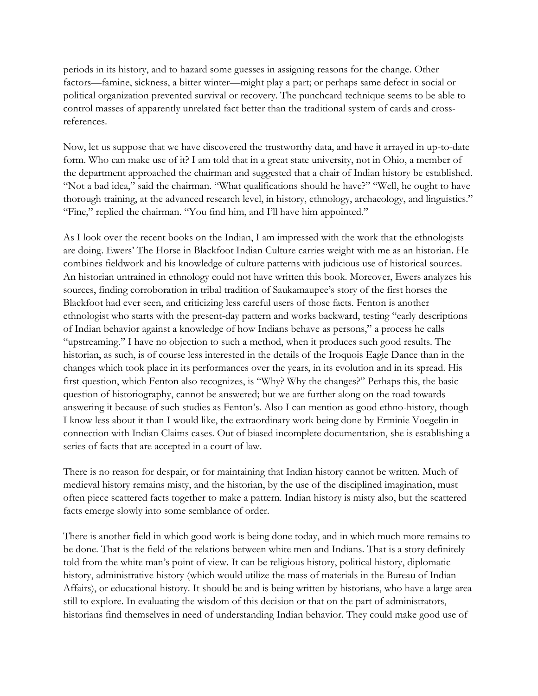periods in its history, and to hazard some guesses in assigning reasons for the change. Other factors—famine, sickness, a bitter winter—might play a part; or perhaps same defect in social or political organization prevented survival or recovery. The punchcard technique seems to be able to control masses of apparently unrelated fact better than the traditional system of cards and crossreferences.

Now, let us suppose that we have discovered the trustworthy data, and have it arrayed in up-to-date form. Who can make use of it? I am told that in a great state university, not in Ohio, a member of the department approached the chairman and suggested that a chair of Indian history be established. "Not a bad idea," said the chairman. "What qualifications should he have?" "Well, he ought to have thorough training, at the advanced research level, in history, ethnology, archaeology, and linguistics." "Fine," replied the chairman. "You find him, and I'll have him appointed."

As I look over the recent books on the Indian, I am impressed with the work that the ethnologists are doing. Ewers' The Horse in Blackfoot Indian Culture carries weight with me as an historian. He combines fieldwork and his knowledge of culture patterns with judicious use of historical sources. An historian untrained in ethnology could not have written this book. Moreover, Ewers analyzes his sources, finding corroboration in tribal tradition of Saukamaupee's story of the first horses the Blackfoot had ever seen, and criticizing less careful users of those facts. Fenton is another ethnologist who starts with the present-day pattern and works backward, testing "early descriptions of Indian behavior against a knowledge of how Indians behave as persons," a process he calls "upstreaming." I have no objection to such a method, when it produces such good results. The historian, as such, is of course less interested in the details of the Iroquois Eagle Dance than in the changes which took place in its performances over the years, in its evolution and in its spread. His first question, which Fenton also recognizes, is "Why? Why the changes?" Perhaps this, the basic question of historiography, cannot be answered; but we are further along on the road towards answering it because of such studies as Fenton's. Also I can mention as good ethno-history, though I know less about it than I would like, the extraordinary work being done by Erminie Voegelin in connection with Indian Claims cases. Out of biased incomplete documentation, she is establishing a series of facts that are accepted in a court of law.

There is no reason for despair, or for maintaining that Indian history cannot be written. Much of medieval history remains misty, and the historian, by the use of the disciplined imagination, must often piece scattered facts together to make a pattern. Indian history is misty also, but the scattered facts emerge slowly into some semblance of order.

There is another field in which good work is being done today, and in which much more remains to be done. That is the field of the relations between white men and Indians. That is a story definitely told from the white man's point of view. It can be religious history, political history, diplomatic history, administrative history (which would utilize the mass of materials in the Bureau of Indian Affairs), or educational history. It should be and is being written by historians, who have a large area still to explore. In evaluating the wisdom of this decision or that on the part of administrators, historians find themselves in need of understanding Indian behavior. They could make good use of